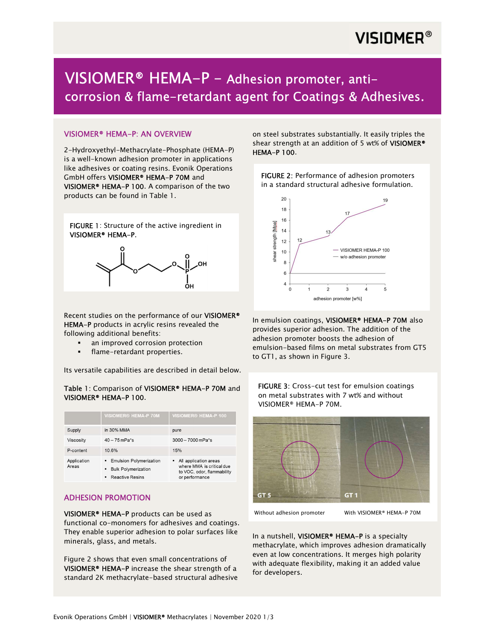# **VISIOMER®**

# VISIOMER® HEMA-P – Adhesion promoter, anticorrosion & flame-retardant agent for Coatings & Adhesives.

### VISIOMER® HEMA-P: AN OVERVIEW

2-Hydroxyethyl-Methacrylate-Phosphate (HEMA-P) is a well-known adhesion promoter in applications like adhesives or coating resins. Evonik Operations GmbH offers VISIOMER® HEMA-P 70M and VISIOMER® HEMA-P 100. A comparison of the two products can be found in Table 1.

FIGURE 1: Structure of the active ingredient in VISIOMER® HEMA-P.



Recent studies on the performance of our VISIOMER® HEMA-P products in acrylic resins revealed the following additional benefits:

- an improved corrosion protection
- flame-retardant properties.

Its versatile capabilities are described in detail below.

#### Table 1: Comparison of VISIOMER® HEMA-P 70M and VISIOMER® HEMA-P 100.

|                      | <b>VISIOMER<sup>®</sup> HEMA-P 70M</b>                                                           | VISIOMER <sup>®</sup> HEMA-P 100                                                                     |
|----------------------|--------------------------------------------------------------------------------------------------|------------------------------------------------------------------------------------------------------|
| Supply               | in 30% MMA                                                                                       | pure                                                                                                 |
| Viscosity            | $40 - 75$ mPa <sup>*</sup> s                                                                     | $3000 - 7000$ mPa*s                                                                                  |
| P-content            | 10.6%                                                                                            | 15%                                                                                                  |
| Application<br>Areas | <b>Emulsion Polymerization</b><br><b>Bulk Polymerization</b><br>٠<br><b>Reactive Resins</b><br>٠ | • All application areas<br>where MMA is critical due<br>to VOC, odor, flammability<br>or performance |

# ADHESION PROMOTION

VISIOMER® HEMA-P products can be used as functional co-monomers for adhesives and coatings. They enable superior adhesion to polar surfaces like minerals, glass, and metals.

Figure 2 shows that even small concentrations of VISIOMER® HEMA-P increase the shear strength of a standard 2K methacrylate-based structural adhesive on steel substrates substantially. It easily triples the shear strength at an addition of 5 wt% of VISIOMER<sup>®</sup> HEMA-P 100.

FIGURE 2: Performance of adhesion promoters in a standard structural adhesive formulation.



In emulsion coatings, VISIOMER® HEMA-P 70M also provides superior adhesion. The addition of the adhesion promoter boosts the adhesion of emulsion-based films on metal substrates from GT5 to GT1, as shown in Figure 3.



Without adhesion promoter With VISIOMER® HEMA-P 70M

GT<sub>5</sub>

In a nutshell, VISIOMER<sup>®</sup> HEMA-P is a specialty methacrylate, which improves adhesion dramatically even at low concentrations. It merges high polarity with adequate flexibility, making it an added value for developers.

GT<sub>1</sub>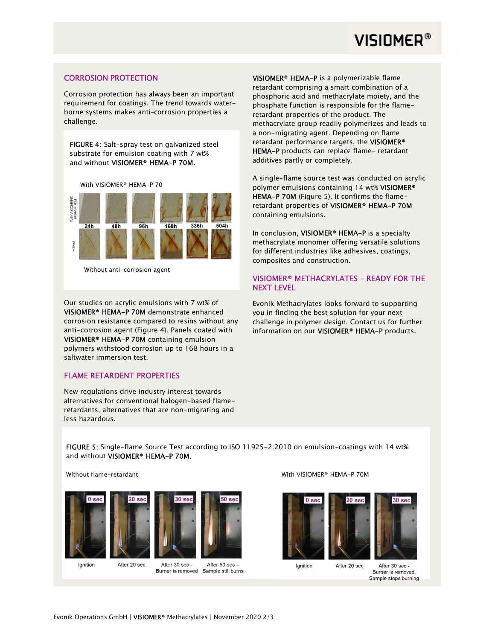

### CORROSION PROTECTION

Corrosion protection has always been an important requirement for coatings. The trend towards waterborne systems makes anti–corrosion properties a challenge.

FIGURE 4: Salt-spray test on galvanized steel substrate for emulsion coating with 7 wt% and without VISIOMER® HEMA-P 70M.

With VISIOMER® HEMA-P 70



Without anti-corrosion agent

Our studies on acrylic emulsions with 7 wt% of VISIOMER® HEMA-P 70M demonstrate enhanced corrosion resistance compared to resins without any anti-corrosion agent (Figure 4). Panels coated with VISIOMER® HEMA-P 70M containing emulsion polymers withstood corrosion up to 168 hours in a saltwater immersion test.

#### FLAME RETARDENT PROPERTIES

New regulations drive industry interest towards alternatives for conventional halogen-based flameretardants, alternatives that are non-migrating and less hazardous.

VISIOMER® HEMA-P is a polymerizable flame retardant comprising a smart combination of a phosphoric acid and methacrylate moiety, and the phosphate function is responsible for the flameretardant properties of the product. The methacrylate group readily polymerizes and leads to a non-migrating agent. Depending on flame retardant performance targets, the VISIOMER® HEMA-P products can replace flame- retardant additives partly or completely.

A single-flame source test was conducted on acrylic polymer emulsions containing 14 wt% VISIOMER® HEMA-P 70M (Figure 5). It confirms the flameretardant properties of VISIOMER® HEMA-P 70M containing emulsions.

In conclusion, VISIOMER<sup>®</sup> HEMA-P is a specialty methacrylate monomer offering versatile solutions for different industries like adhesives, coatings, composites and construction.

### VISIOMER® METHACRYLATES – READY FOR THE NEXT LEVEL

Evonik Methacrylates looks forward to supporting you in finding the best solution for your next challenge in polymer design. Contact us for further information on our VISIOMER<sup>®</sup> HEMA-P products.

 FIGURE 5: Single-flame Source Test according to ISO 11925-2:2010 on emulsion-coatings with 14 wt% and without VISIOMER® HEMA-P 70M.





After 20 sec



Ignition

After 30 sec -

After 50 sec-Burner is removed Sample still burns

#### With VISIOMER® HEMA-P 70M





After 20 sec

Ignition

After 30 sec -Burner is removed. Sample stops burning

 $30 \text{ se}$